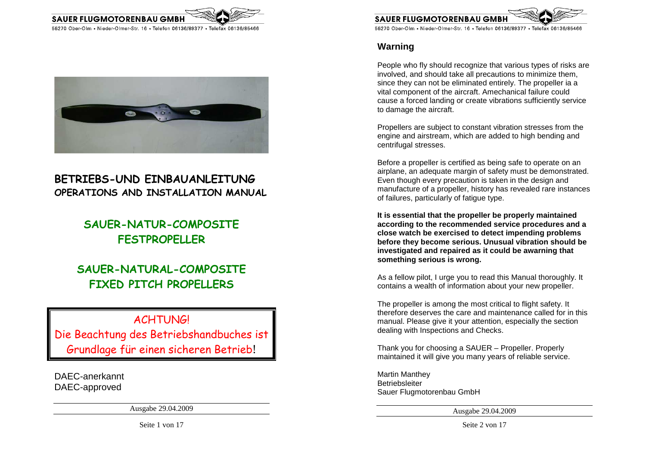



# **BETRIEBS-UND EINBAUANLEITUNG OPERATIONS AND INSTALLATION MANUAL**

# **SAUER-NATUR-COMPOSITE FESTPROPELLER**

# **SAUER-NATURAL-COMPOSITE FIXED PITCH PROPELLERS**

# **ACHTUNG!**

Die Beachtung des Betriebshandbuches ist Grundlage für einen sicheren Betrieb!

DAEC-anerkannt DAEC-approved

Ausgabe 29.04.2009



55270 Ober-Olm • Nieder-Olmer-Str. 16 • Telefon 06136/89377 • Telefax 06136/85466

## **Warning**

People who fly should recognize that various types of risks are involved, and should take all precautions to minimize them, since they can not be eliminated entirely. The propeller ia a vital component of the aircraft. Amechanical failure could cause a forced landing or create vibrations sufficiently service to damage the aircraft.

Propellers are subject to constant vibration stresses from the engine and airstream, which are added to high bending and centrifugal stresses.

Before a propeller is certified as being safe to operate on an airplane, an adequate margin of safety must be demonstrated. Even though every precaution is taken in the design and manufacture of a propeller, history has revealed rare instances of failures, particularly of fatigue type.

**It is essential that the propeller be properly maintained according to the recommended service procedures and a close watch be exercised to detect impending problems before they become serious. Unusual vibration should be investigated and repaired as it could be awarning that something serious is wrong.** 

As a fellow pilot, I urge you to read this Manual thoroughly. It contains a wealth of information about your new propeller.

The propeller is among the most critical to flight safety. It therefore deserves the care and maintenance called for in this manual. Please give it your attention, especially the section dealing with Inspections and Checks.

Thank you for choosing a SAUER – Propeller. Properly maintained it will give you many years of reliable service.

Martin Manthey Betriebsleiter Sauer Flugmotorenbau GmbH

Ausgabe 29.04.2009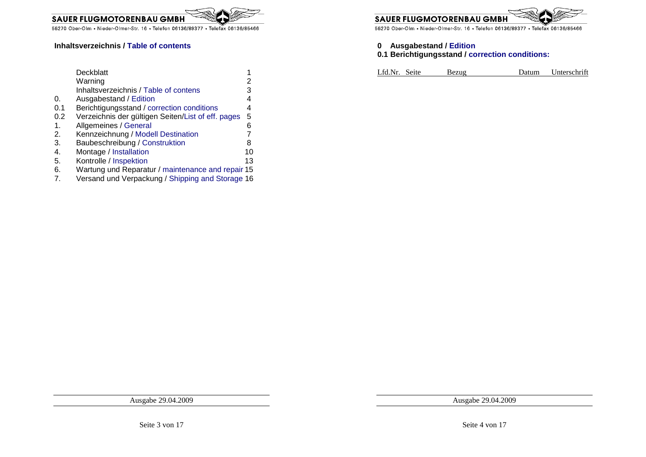

#### **Inhaltsverzeichnis / Table of contents**

|     | Deckblatt                                          |    |
|-----|----------------------------------------------------|----|
|     | Warning                                            | 2  |
|     | Inhaltsverzeichnis / Table of contens              | 3  |
| 0.  | Ausgabestand / Edition                             | 4  |
| 0.1 | Berichtigungsstand / correction conditions         | 4  |
| 0.2 | Verzeichnis der gültigen Seiten/List of eff. pages | 5  |
| 1.  | Allgemeines / General                              | 6  |
| 2.  | Kennzeichnung / Modell Destination                 |    |
| 3.  | Baubeschreibung / Construktion                     | 8  |
| 4.  | Montage / Installation                             | 10 |
| 5.  | Kontrolle / Inspektion                             | 13 |
| 6.  | Wartung und Reparatur / maintenance and repair 15  |    |
|     |                                                    |    |

7. Versand und Verpackung / Shipping and Storage 16

**SAUER FLUGMOTORENBAU GMB** 

55270 Ober-Olm • Nieder-Olmer-Str. 16 • Telefon 06136/89377 • Telefax 06136/85466

## **0 Ausgabestand / Edition**

#### **0.1 Berichtigungsstand / correction conditions:**

| Lfd.Nr. Seite<br>Unterschrift<br>Datum<br>Bezug |
|-------------------------------------------------|
|-------------------------------------------------|

Ausgabe 29.04.2009

Ausgabe 29.04.2009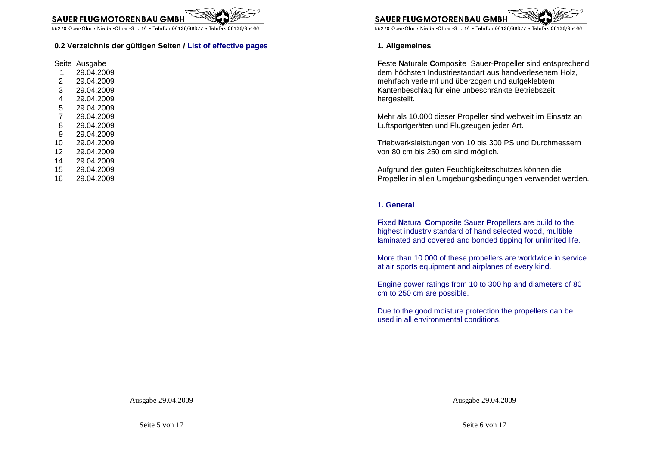

#### **0.2 Verzeichnis der gültigen Seiten / List of effective pages**

Seite Ausgabe

- 1 29.04.2009
- 2 29.04.2009
- 3 29.04.2009
- 4 29.04.2009
- 5 29.04.2009
- 7 29.04.2009
- 8 29.04.2009
- 9 29.04.2009
- 10 29.04.2009
- 12 29.04.2009
- 14 29.04.2009
- 
- 15 29.04.2009
- 16 29.04.2009



55270 Ober-Olm • Nieder-Olmer-Str. 16 • Telefon 06136/89377 • Telefax 06136/85466

#### **1. Allgemeines**

Feste **N**aturale **C**omposite Sauer-**P**ropeller sind entsprechend dem höchsten Industriestandart aus handverlesenem Holz, mehrfach verleimt und überzogen und aufgeklebtem Kantenbeschlag für eine unbeschränkte Betriebszeit hergestellt.

Mehr als 10.000 dieser Propeller sind weltweit im Einsatz an Luftsportgeräten und Flugzeugen jeder Art.

Triebwerksleistungen von 10 bis 300 PS und Durchmessern von 80 cm bis 250 cm sind möglich.

Aufgrund des guten Feuchtigkeitsschutzes können diePropeller in allen Umgebungsbedingungen verwendet werden.

#### **1. General**

Fixed **N**atural **C**omposite Sauer **P**ropellers are build to the highest industry standard of hand selected wood, multible laminated and covered and bonded tipping for unlimited life.

More than 10.000 of these propellers are worldwide in service at air sports equipment and airplanes of every kind.

Engine power ratings from 10 to 300 hp and diameters of 80 cm to 250 cm are possible.

Due to the good moisture protection the propellers can be used in all environmental conditions.

Ausgabe 29.04.2009

Ausgabe 29.04.2009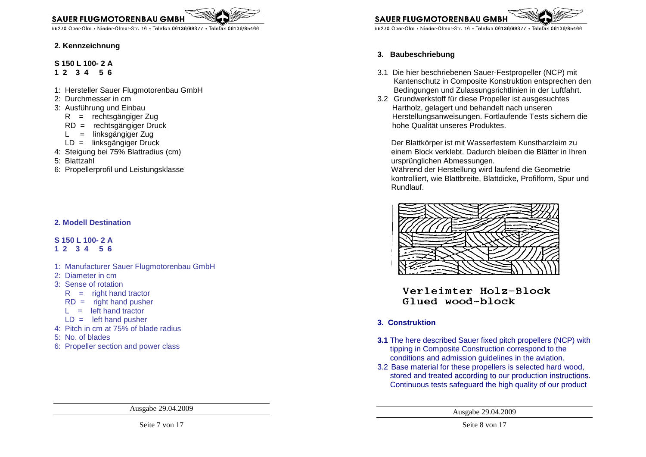**SAUER FLUGMOTORENBAU GMBH** 

55270 Ober-Olm • Nieder-Olmer-Str. 16 • Telefon 06136/89377 • Telefax 06136/85466

#### **2. Kennzeichnung**

### **S 150 L 100- 2 A**

- **1 2 3 4 5 6**
- 1: Hersteller Sauer Flugmotorenbau GmbH
- 2: Durchmesser in cm
- 3: Ausführung und Einbau
- R = rechtsgängiger Zug
- RD = rechtsgängiger Druck
	- L = linksgängiger Zug
- LD = linksgängiger Druck
- 4: Steigung bei 75% Blattradius (cm)
- 5: Blattzahl
- 6: Propellerprofil und Leistungsklasse

### **2. Modell Destination**

### **S 150 L 100- 2 A**

- **1 2 3 4 5 6**
- 1: Manufacturer Sauer Flugmotorenbau GmbH
- 2: Diameter in cm
- 3: Sense of rotation
- $R =$  right hand tractor
- $RD =$  right hand pusher
	- $L =$  left hand tractor
- $LD =$  left hand pusher
- 4: Pitch in cm at 75% of blade radius
- 5: No. of blades
- 6: Propeller section and power class

Ausgabe 29.04.2009



**SAUER FLUGMOTORENBAU GMB** 

55270 Ober-Olm • Nieder-Olmer-Str. 16 • Telefon 06136/89377 • Telefax 06136/85466

### **3. Baubeschriebung**

- 3.1 Die hier beschriebenen Sauer-Festpropeller (NCP) mit Kantenschutz in Composite Konstruktion entsprechen den Bedingungen und Zulassungsrichtlinien in der Luftfahrt.
- 3.2 Grundwerkstoff für diese Propeller ist ausgesuchtes Hartholz, gelagert und behandelt nach unseren Herstellungsanweisungen. Fortlaufende Tests sichern die hohe Qualität unseres Produktes.

Der Blattkörper ist mit Wasserfestem Kunstharzleim zu einem Block verklebt. Dadurch bleiben die Blätter in Ihren ursprünglichen Abmessungen.

 Während der Herstellung wird laufend die Geometrie kontrolliert, wie Blattbreite, Blattdicke, Profilform, Spur und Rundlauf.



Verleimter Holz-Block Glued wood-block

### **3. Construktion**

- **3.1** The here described Sauer fixed pitch propellers (NCP) with tipping in Composite Construction correspond to the conditions and admission guidelines in the aviation.
- 3.2 Base material for these propellers is selected hard wood, stored and treated according to our production instructions. Continuous tests safeguard the high quality of our product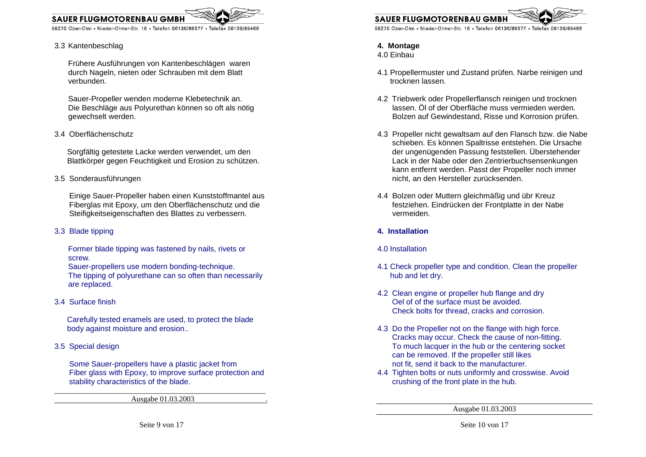

#### 3.3 Kantenbeschlag

**SAUER FLUGMOTORENBAU GMI** 

Frühere Ausführungen von Kantenbeschlägen waren durch Nageln, nieten oder Schrauben mit dem Blatt verbunden.

Sauer-Propeller wenden moderne Klebetechnik an. Die Beschläge aus Polyurethan können so oft als nötig gewechselt werden.

3.4 Oberflächenschutz

 Sorgfältig getestete Lacke werden verwendet, um den Blattkörper gegen Feuchtigkeit und Erosion zu schützen.

3.5 Sonderausführungen

 Einige Sauer-Propeller haben einen Kunststoffmantel aus Fiberglas mit Epoxy, um den Oberflächenschutz und die Steifigkeitseigenschaften des Blattes zu verbessern.

3.3 Blade tipping

Former blade tipping was fastened by nails, rivets or screw.

 Sauer-propellers use modern bonding-technique. The tipping of polyurethane can so often than necessarily are replaced.

3.4 Surface finish

 Carefully tested enamels are used, to protect the blade body against moisture and erosion..

3.5 Special design

 Some Sauer-propellers have a plastic jacket from Fiber glass with Epoxy, to improve surface protection and stability characteristics of the blade.

Ausgabe 01.03.2003 .



55270 Ober-Olm • Nieder-Olmer-Str. 16 • Telefon 06136/89377 • Telefax 06136/85466

### **4. Montage**

4.0 Einbau

- 4.1 Propellermuster und Zustand prüfen. Narbe reinigen und trocknen lassen.
- 4.2 Triebwerk oder Propellerflansch reinigen und trocknen lassen. Öl of der Oberfläche muss vermieden werden. Bolzen auf Gewindestand, Risse und Korrosion prüfen.
- 4.3 Propeller nicht gewaltsam auf den Flansch bzw. die Nabe schieben. Es können Spaltrisse entstehen. Die Ursache der ungenügenden Passung feststellen. Überstehender Lack in der Nabe oder den Zentrierbuchsensenkungen kann entfernt werden. Passt der Propeller noch immer nicht, an den Hersteller zurücksenden.
- 4.4 Bolzen oder Muttern gleichmäßig und übr Kreuz festziehen. Eindrücken der Frontplatte in der Nabe vermeiden.
- **4. Installation**
- 4.0 Installation
- 4.1 Check propeller type and condition. Clean the propeller hub and let dry.
- 4.2 Clean engine or propeller hub flange and dry Oel of of the surface must be avoided. Check bolts for thread, cracks and corrosion.
- 4.3 Do the Propeller not on the flange with high force. Cracks may occur. Check the cause of non-fitting. To much lacquer in the hub or the centering socket can be removed. If the propeller still likesnot fit, send it back to the manufacturer.
- 4.4 Tighten bolts or nuts uniformly and crosswise. Avoid crushing of the front plate in the hub.

Ausgabe 01.03.2003

Seite 10 von 17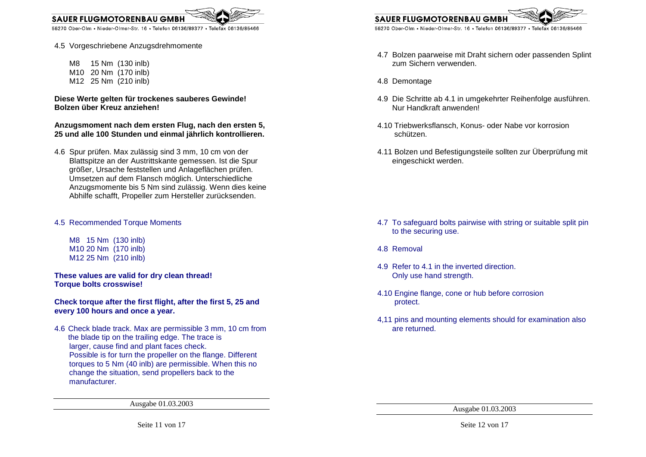

4.5 Vorgeschriebene Anzugsdrehmomente

 M8 15 Nm (130 inlb) M10 20 Nm (170 inlb) M12 25 Nm (210 inlb)

**Diese Werte gelten für trockenes sauberes Gewinde! Bolzen über Kreuz anziehen!** 

**Anzugsmoment nach dem ersten Flug, nach den ersten 5, 25 und alle 100 Stunden und einmal jährlich kontrollieren.** 

4.6 Spur prüfen. Max zulässig sind 3 mm, 10 cm von der Blattspitze an der Austrittskante gemessen. Ist die Spur größer, Ursache feststellen und Anlageflächen prüfen. Umsetzen auf dem Flansch möglich. Unterschiedliche Anzugsmomente bis 5 Nm sind zulässig. Wenn dies keine Abhilfe schafft, Propeller zum Hersteller zurücksenden.

#### 4.5 Recommended Torque Moments

 M8 15 Nm (130 inlb) M10 20 Nm (170 inlb) M12 25 Nm (210 inlb)

**These values are valid for dry clean thread! Torque bolts crosswise!** 

**Check torque after the first flight, after the first 5, 25 and every 100 hours and once a year.** 

4.6 Check blade track. Max are permissible 3 mm, 10 cm from the blade tip on the trailing edge. The trace is larger, cause find and plant faces check. Possible is for turn the propeller on the flange. Different torques to 5 Nm (40 inlb) are permissible. When this no change the situation, send propellers back to the manufacturer.

Ausgabe 01.03.2003

**SAUER FLUGMOTORENBAU GMI** 

55270 Ober-Olm • Nieder-Olmer-Str. 16 • Telefon 06136/89377 • Telefax 06136/85466

- 4.7 Bolzen paarweise mit Draht sichern oder passenden Splint zum Sichern verwenden.
- 4.8 Demontage
- 4.9 Die Schritte ab 4.1 in umgekehrter Reihenfolge ausführen. Nur Handkraft anwenden!
- 4.10 Triebwerksflansch, Konus- oder Nabe vor korrosion schützen.
- 4.11 Bolzen und Befestigungsteile sollten zur Überprüfung mit eingeschickt werden.

- 4.7 To safeguard bolts pairwise with string or suitable split pin to the securing use.
- 4.8 Removal
- 4.9 Refer to 4.1 in the inverted direction. Only use hand strength.
- 4.10 Engine flange, cone or hub before corrosion protect.
- 4,11 pins and mounting elements should for examination also are returned.

Ausgabe 01.03.2003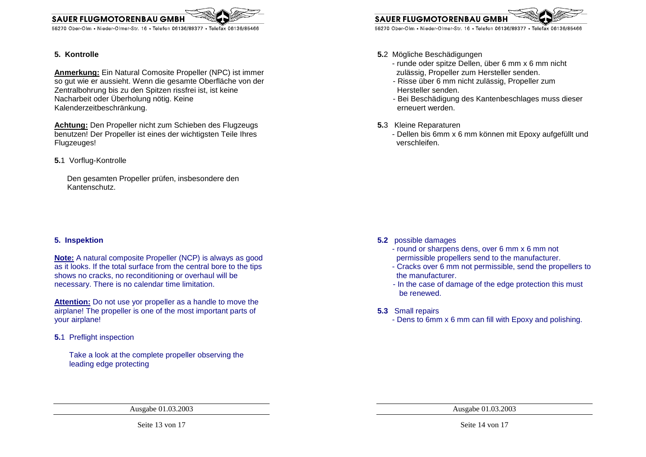

#### **5. Kontrolle**

**Anmerkung:** Ein Natural Comosite Propeller (NPC) ist immer so gut wie er aussieht. Wenn die gesamte Oberfläche von der Zentralbohrung bis zu den Spitzen rissfrei ist, ist keine Nacharbeit oder Überholung nötig. Keine Kalenderzeitbeschränkung.

**Achtung:** Den Propeller nicht zum Schieben des Flugzeugs benutzen! Der Propeller ist eines der wichtigsten Teile Ihres Flugzeuges!

**5.**1 Vorflug-Kontrolle

 Den gesamten Propeller prüfen, insbesondere den Kantenschutz.

#### **5. Inspektion**

**Note:** A natural composite Propeller (NCP) is always as good as it looks. If the total surface from the central bore to the tips shows no cracks, no reconditioning or overhaul will be necessary. There is no calendar time limitation.

**Attention:** Do not use yor propeller as a handle to move the airplane! The propeller is one of the most important parts of your airplane!

**5.**1 Preflight inspection

 Take a look at the complete propeller observing the leading edge protecting

**SAUER FLUGMOTORENBAU GMI** 

55270 Ober-Olm • Nieder-Olmer-Str. 16 • Telefon 06136/89377 • Telefax 06136/85466

- **5.**2 Mögliche Beschädigungen
- - runde oder spitze Dellen, über 6 mm x 6 mm nicht zulässig, Propeller zum Hersteller senden.
	- Risse über 6 mm nicht zulässig, Propeller zum Hersteller senden.
	- Bei Beschädigung des Kantenbeschlages muss diesererneuert werden.
- **5.**3 Kleine Reparaturen
- - Dellen bis 6mm x 6 mm können mit Epoxy aufgefüllt und verschleifen.

- **5.2** possible damages
- - round or sharpens dens, over 6 mm x 6 mm not permissible propellers send to the manufacturer.
- - Cracks over 6 mm not permissible, send the propellers to the manufacturer.
	- In the case of damage of the edge protection this must be renewed.
- **5.3** Small repairs
- Dens to 6mm x 6 mm can fill with Epoxy and polishing.

Ausgabe 01.03.2003

Seite 13 von 17

Ausgabe 01.03.2003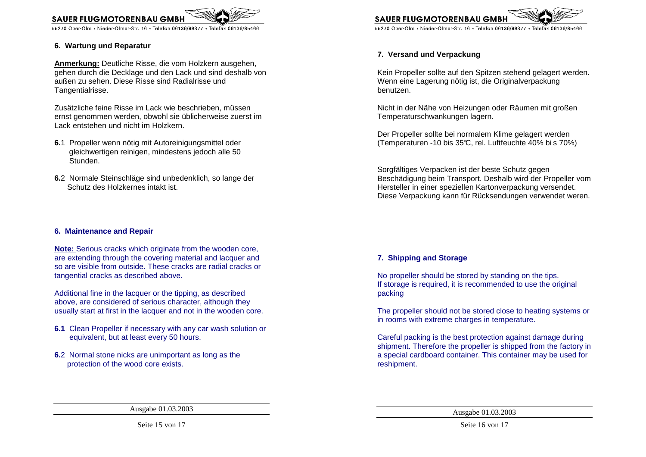

#### **6. Wartung und Reparatur**

**SAUER FLUGMOTORENBAU GMI** 

**Anmerkung:** Deutliche Risse, die vom Holzkern ausgehen, gehen durch die Decklage und den Lack und sind deshalb von außen zu sehen. Diese Risse sind Radialrisse und Tangentialrisse.

Zusätzliche feine Risse im Lack wie beschrieben, müssen ernst genommen werden, obwohl sie üblicherweise zuerst im Lack entstehen und nicht im Holzkern.

- **6.**1 Propeller wenn nötig mit Autoreinigungsmittel oder gleichwertigen reinigen, mindestens jedoch alle 50 Stunden.
- **6.**2 Normale Steinschläge sind unbedenklich, so lange der Schutz des Holzkernes intakt ist.

#### **6. Maintenance and Repair**

**Note:** Serious cracks which originate from the wooden core, are extending through the covering material and lacquer and so are visible from outside. These cracks are radial cracks or tangential cracks as described above.

Additional fine in the lacquer or the tipping, as described above, are considered of serious character, although they usually start at first in the lacquer and not in the wooden core.

- **6.1** Clean Propeller if necessary with any car wash solution or equivalent, but at least every 50 hours.
- **6.**2 Normal stone nicks are unimportant as long as the protection of the wood core exists.



### **7. Versand und Verpackung**

Kein Propeller sollte auf den Spitzen stehend gelagert werden. Wenn eine Lagerung nötig ist, die Originalverpackung benutzen.

Nicht in der Nähe von Heizungen oder Räumen mit großen Temperaturschwankungen lagern.

Der Propeller sollte bei normalem Klime gelagert werden (Temperaturen -10 bis 35°C, rel. Luftfeuchte 40% bi s 70%)

Sorgfältiges Verpacken ist der beste Schutz gegen Beschädigung beim Transport. Deshalb wird der Propeller vom Hersteller in einer speziellen Kartonverpackung versendet. Diese Verpackung kann für Rücksendungen verwendet weren.

#### **7. Shipping and Storage**

No propeller should be stored by standing on the tips. If storage is required, it is recommended to use the original packing

The propeller should not be stored close to heating systems or in rooms with extreme charges in temperature.

Careful packing is the best protection against damage during shipment. Therefore the propeller is shipped from the factory in a special cardboard container. This container may be used for reshipment.

Seite 15 von 17

Ausgabe 01.03.2003

Ausgabe 01.03.2003